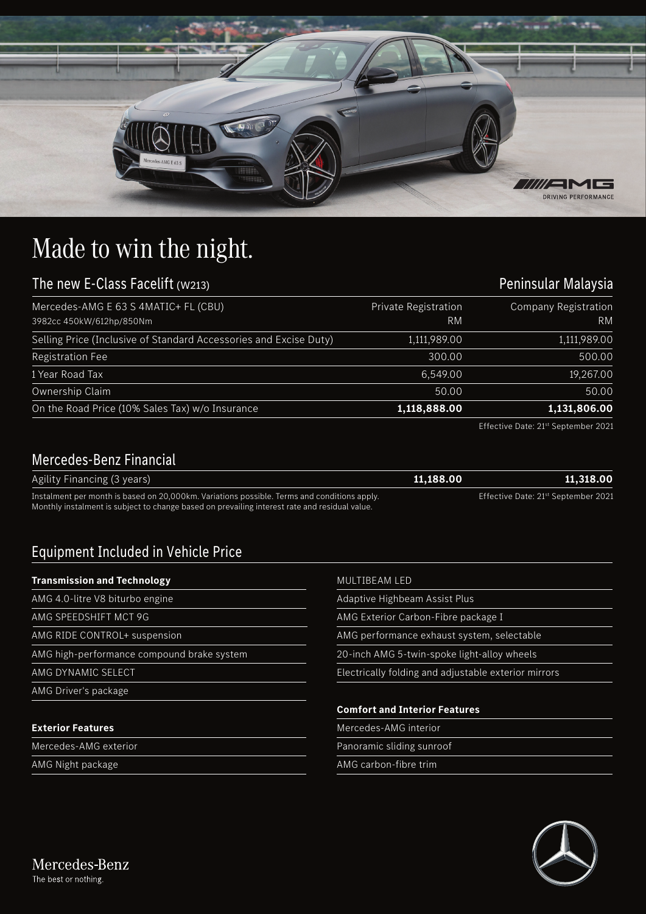

## Made to win the night.

| The new E-Class Facelift (w213)                                   | Peninsular Malaysia        |                                   |
|-------------------------------------------------------------------|----------------------------|-----------------------------------|
| Mercedes-AMG E 63 S 4MATIC+ FL (CBU)<br>3982cc 450kW/612hp/850Nm  | Private Registration<br>RM | Company Registration<br><b>RM</b> |
| Selling Price (Inclusive of Standard Accessories and Excise Duty) | 1,111,989.00               | 1,111,989.00                      |
| <b>Registration Fee</b>                                           | 300.00                     | 500.00                            |
| 1 Year Road Tax                                                   | 6,549.00                   | 19,267.00                         |
| Ownership Claim                                                   | 50.00                      | 50.00                             |
| On the Road Price (10% Sales Tax) w/o Insurance                   | 1,118,888.00               | 1,131,806.00                      |

Effective Date: 21st September 2021

## Mercedes-Benz Financial

| Agility Financing (3 years)                                                                                                                                                                  | 11.188.00 | 11,318.00                                       |
|----------------------------------------------------------------------------------------------------------------------------------------------------------------------------------------------|-----------|-------------------------------------------------|
| Instalment per month is based on 20,000km. Variations possible. Terms and conditions apply.<br>Monthly instalment is subject to change based on prevailing interest rate and residual value. |           | Effective Date: 21 <sup>st</sup> September 2021 |

## Equipment Included in Vehicle Price

| <b>Transmission and Technology</b>         | MULTIBEAM LED                                        |
|--------------------------------------------|------------------------------------------------------|
| AMG 4.0-litre V8 biturbo engine            | Adaptive Highbeam Assist Plus                        |
| AMG SPEEDSHIFT MCT 9G                      | AMG Exterior Carbon-Fibre package I                  |
| AMG RIDE CONTROL+ suspension               | AMG performance exhaust system, selectable           |
| AMG high-performance compound brake system | 20-inch AMG 5-twin-spoke light-alloy wheels          |
| <b>AMG DYNAMIC SELECT</b>                  | Electrically folding and adjustable exterior mirrors |
| AMG Driver's package                       |                                                      |
|                                            | <b>Comfort and Interior Features</b>                 |
| <b>Exterior Features</b>                   | Mercedes-AMG interior                                |
| Mercedes-AMG exterior                      | Panoramic sliding sunroof                            |
| AMG Night package                          | AMG carbon-fibre trim                                |